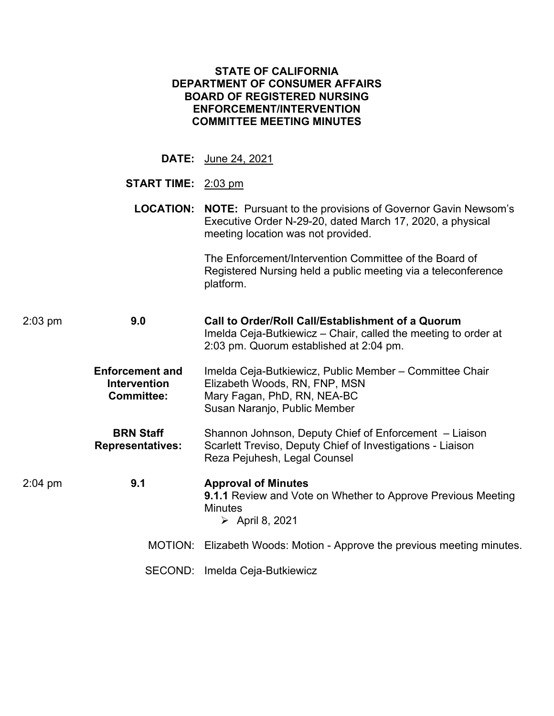| <b>STATE OF CALIFORNIA</b><br><b>DEPARTMENT OF CONSUMER AFFAIRS</b><br><b>BOARD OF REGISTERED NURSING</b><br><b>ENFORCEMENT/INTERVENTION</b><br><b>COMMITTEE MEETING MINUTES</b> |                                                                    |                                                                                                                                                                                 |  |  |  |  |  |
|----------------------------------------------------------------------------------------------------------------------------------------------------------------------------------|--------------------------------------------------------------------|---------------------------------------------------------------------------------------------------------------------------------------------------------------------------------|--|--|--|--|--|
|                                                                                                                                                                                  |                                                                    | <b>DATE:</b> June 24, 2021                                                                                                                                                      |  |  |  |  |  |
|                                                                                                                                                                                  | <b>START TIME:</b> 2:03 pm                                         |                                                                                                                                                                                 |  |  |  |  |  |
|                                                                                                                                                                                  |                                                                    | <b>LOCATION: NOTE:</b> Pursuant to the provisions of Governor Gavin Newsom's<br>Executive Order N-29-20, dated March 17, 2020, a physical<br>meeting location was not provided. |  |  |  |  |  |
|                                                                                                                                                                                  |                                                                    | The Enforcement/Intervention Committee of the Board of<br>Registered Nursing held a public meeting via a teleconference<br>platform.                                            |  |  |  |  |  |
| 9.0<br>2:03 pm                                                                                                                                                                   |                                                                    | Call to Order/Roll Call/Establishment of a Quorum<br>Imelda Ceja-Butkiewicz – Chair, called the meeting to order at<br>2:03 pm. Quorum established at 2:04 pm.                  |  |  |  |  |  |
|                                                                                                                                                                                  | <b>Enforcement and</b><br><b>Intervention</b><br><b>Committee:</b> | Imelda Ceja-Butkiewicz, Public Member – Committee Chair<br>Elizabeth Woods, RN, FNP, MSN<br>Mary Fagan, PhD, RN, NEA-BC<br>Susan Naranjo, Public Member                         |  |  |  |  |  |
|                                                                                                                                                                                  | <b>BRN Staff</b><br><b>Representatives:</b>                        | Shannon Johnson, Deputy Chief of Enforcement - Liaison<br>Scarlett Treviso, Deputy Chief of Investigations - Liaison<br>Reza Pejuhesh, Legal Counsel                            |  |  |  |  |  |
| 2:04 pm                                                                                                                                                                          | 9.1                                                                | <b>Approval of Minutes</b><br><b>9.1.1 Review and Vote on Whether to Approve Previous Meeting</b><br><b>Minutes</b><br>$\triangleright$ April 8, 2021                           |  |  |  |  |  |
|                                                                                                                                                                                  | MOTION:                                                            | Elizabeth Woods: Motion - Approve the previous meeting minutes.                                                                                                                 |  |  |  |  |  |
|                                                                                                                                                                                  | SECOND:                                                            | Imelda Ceja-Butkiewicz                                                                                                                                                          |  |  |  |  |  |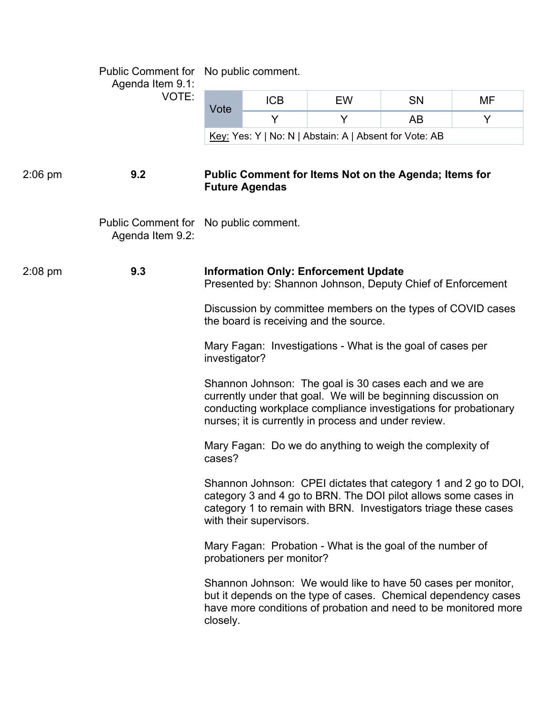|           | Agenda Item 9.1:<br>VOTE:                                 | Public Comment for No public comment.                                                                                                                                                                                                             |            |           |    |    |  |  |  |
|-----------|-----------------------------------------------------------|---------------------------------------------------------------------------------------------------------------------------------------------------------------------------------------------------------------------------------------------------|------------|-----------|----|----|--|--|--|
|           |                                                           | Vote                                                                                                                                                                                                                                              | <b>ICB</b> | <b>EW</b> | SN | MF |  |  |  |
|           |                                                           |                                                                                                                                                                                                                                                   | Y          | Y         | AB | Y  |  |  |  |
|           |                                                           | Key: Yes: Y   No: N   Abstain: A   Absent for Vote: AB                                                                                                                                                                                            |            |           |    |    |  |  |  |
| $2:06$ pm | 9.2                                                       | Public Comment for Items Not on the Agenda; Items for<br><b>Future Agendas</b>                                                                                                                                                                    |            |           |    |    |  |  |  |
|           | Public Comment for No public comment.<br>Agenda Item 9.2: |                                                                                                                                                                                                                                                   |            |           |    |    |  |  |  |
| $2:08$ pm | 9.3                                                       | <b>Information Only: Enforcement Update</b><br>Presented by: Shannon Johnson, Deputy Chief of Enforcement                                                                                                                                         |            |           |    |    |  |  |  |
|           |                                                           | Discussion by committee members on the types of COVID cases<br>the board is receiving and the source.                                                                                                                                             |            |           |    |    |  |  |  |
|           |                                                           | Mary Fagan: Investigations - What is the goal of cases per<br>investigator?                                                                                                                                                                       |            |           |    |    |  |  |  |
|           |                                                           | Shannon Johnson: The goal is 30 cases each and we are<br>currently under that goal. We will be beginning discussion on<br>conducting workplace compliance investigations for probationary<br>nurses; it is currently in process and under review. |            |           |    |    |  |  |  |
|           |                                                           | Mary Fagan: Do we do anything to weigh the complexity of<br>cases?                                                                                                                                                                                |            |           |    |    |  |  |  |
|           |                                                           | Shannon Johnson: CPEI dictates that category 1 and 2 go to DOI,<br>category 3 and 4 go to BRN. The DOI pilot allows some cases in<br>category 1 to remain with BRN. Investigators triage these cases<br>with their supervisors.                   |            |           |    |    |  |  |  |
|           |                                                           | Mary Fagan: Probation - What is the goal of the number of<br>probationers per monitor?                                                                                                                                                            |            |           |    |    |  |  |  |
|           |                                                           | Shannon Johnson: We would like to have 50 cases per monitor,<br>but it depends on the type of cases. Chemical dependency cases<br>have more conditions of probation and need to be monitored more<br>closely.                                     |            |           |    |    |  |  |  |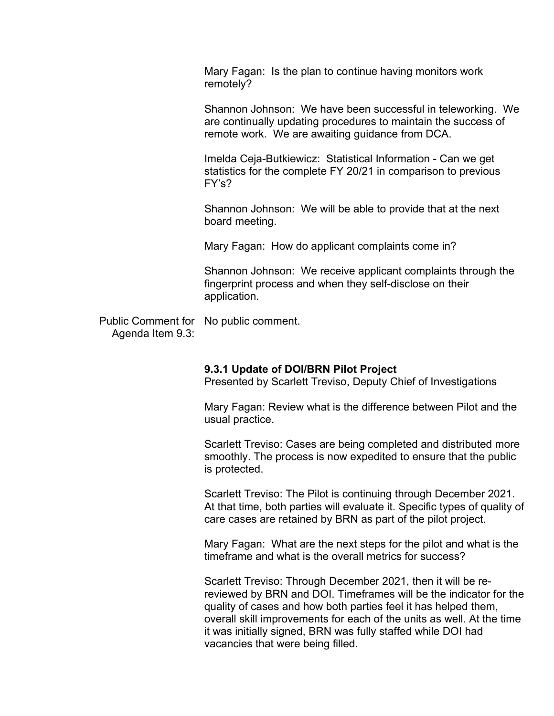Mary Fagan: Is the plan to continue having monitors work remotely?

 remote work. We are awaiting guidance from DCA. Shannon Johnson: We have been successful in teleworking. We are continually updating procedures to maintain the success of

 Imelda Ceja-Butkiewicz: Statistical Information - Can we get statistics for the complete FY 20/21 in comparison to previous FY's?

Shannon Johnson: We will be able to provide that at the next board meeting.

Mary Fagan: How do applicant complaints come in?

 Shannon Johnson: We receive applicant complaints through the application. fingerprint process and when they self-disclose on their

Public Comment for application. No public comment. Agenda Item 9.3:

### **9.3.1 Update of DOI/BRN Pilot Project**

Presented by Scarlett Treviso, Deputy Chief of Investigations

Mary Fagan: Review what is the difference between Pilot and the usual practice.

Scarlett Treviso: Cases are being completed and distributed more smoothly. The process is now expedited to ensure that the public is protected.

care cases are retained by BRN as part of the pilot project. Scarlett Treviso: The Pilot is continuing through December 2021. At that time, both parties will evaluate it. Specific types of quality of

care cases are retained by BRN as part of the pilot project.<br>Mary Fagan: What are the next steps for the pilot and what is the timeframe and what is the overall metrics for success?

 it was initially signed, BRN was fully staffed while DOI had Scarlett Treviso: Through December 2021, then it will be rereviewed by BRN and DOI. Timeframes will be the indicator for the quality of cases and how both parties feel it has helped them, overall skill improvements for each of the units as well. At the time vacancies that were being filled.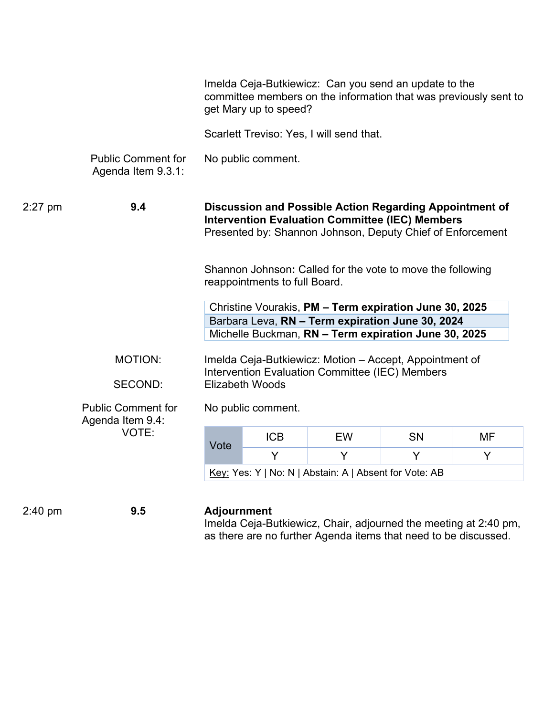|           |                                                        | Imelda Ceja-Butkiewicz: Can you send an update to the<br>committee members on the information that was previously sent to<br>get Mary up to speed?                              |            |           |           |    |  |
|-----------|--------------------------------------------------------|---------------------------------------------------------------------------------------------------------------------------------------------------------------------------------|------------|-----------|-----------|----|--|
|           |                                                        | Scarlett Treviso: Yes, I will send that.                                                                                                                                        |            |           |           |    |  |
|           | <b>Public Comment for</b><br>Agenda Item 9.3.1:        | No public comment.                                                                                                                                                              |            |           |           |    |  |
| $2:27$ pm | 9.4                                                    | Discussion and Possible Action Regarding Appointment of<br><b>Intervention Evaluation Committee (IEC) Members</b><br>Presented by: Shannon Johnson, Deputy Chief of Enforcement |            |           |           |    |  |
|           |                                                        | Shannon Johnson: Called for the vote to move the following<br>reappointments to full Board.                                                                                     |            |           |           |    |  |
|           |                                                        | Christine Vourakis, PM - Term expiration June 30, 2025<br>Barbara Leva, RN - Term expiration June 30, 2024<br>Michelle Buckman, RN - Term expiration June 30, 2025              |            |           |           |    |  |
|           | <b>MOTION:</b>                                         | Imelda Ceja-Butkiewicz: Motion – Accept, Appointment of<br>Intervention Evaluation Committee (IEC) Members<br><b>Elizabeth Woods</b>                                            |            |           |           |    |  |
|           | <b>SECOND:</b>                                         |                                                                                                                                                                                 |            |           |           |    |  |
|           | <b>Public Comment for</b><br>Agenda Item 9.4:<br>VOTE: | No public comment.                                                                                                                                                              |            |           |           |    |  |
|           |                                                        | Vote                                                                                                                                                                            | <b>ICB</b> | <b>EW</b> | <b>SN</b> | MF |  |
|           |                                                        |                                                                                                                                                                                 | Y          | Y         | Y         | Y  |  |
|           |                                                        | Key: Yes: Y   No: N   Abstain: A   Absent for Vote: AB                                                                                                                          |            |           |           |    |  |
| $2:40$ pm | 9.5                                                    | <b>Adjournment</b>                                                                                                                                                              |            |           |           |    |  |

Imelda Ceja-Butkiewicz, Chair, adjourned the meeting at 2:40 pm, as there are no further Agenda items that need to be discussed.